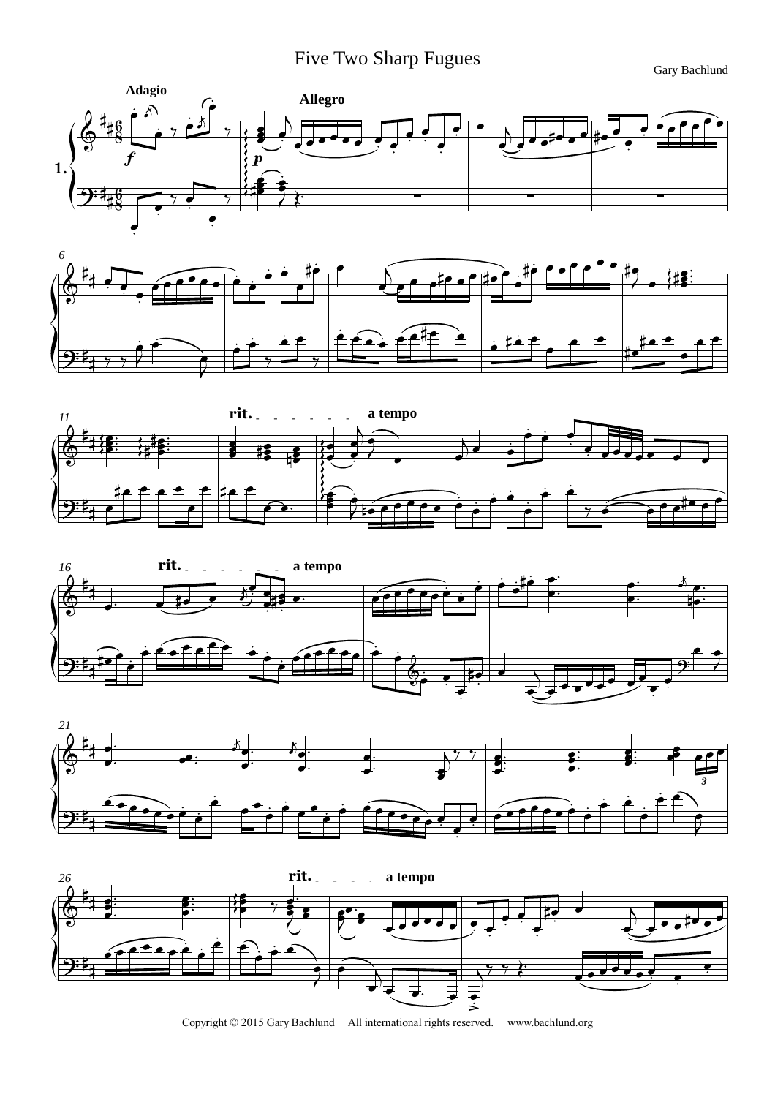## Five Two Sharp Fugues













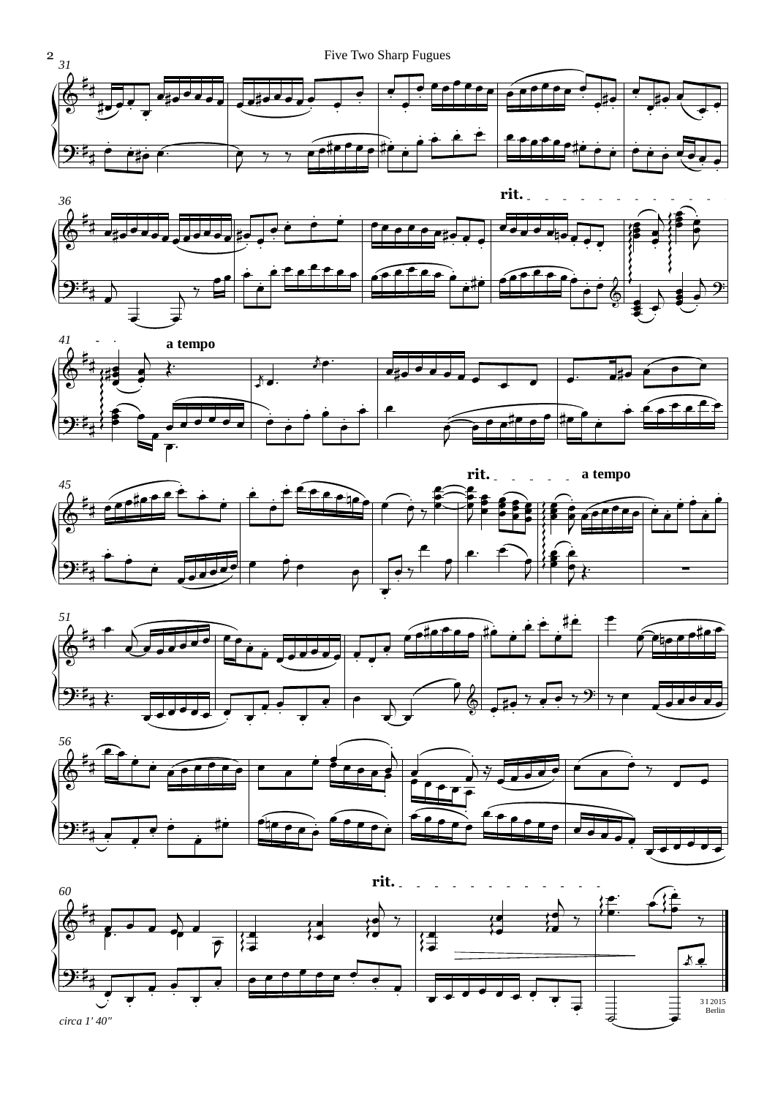











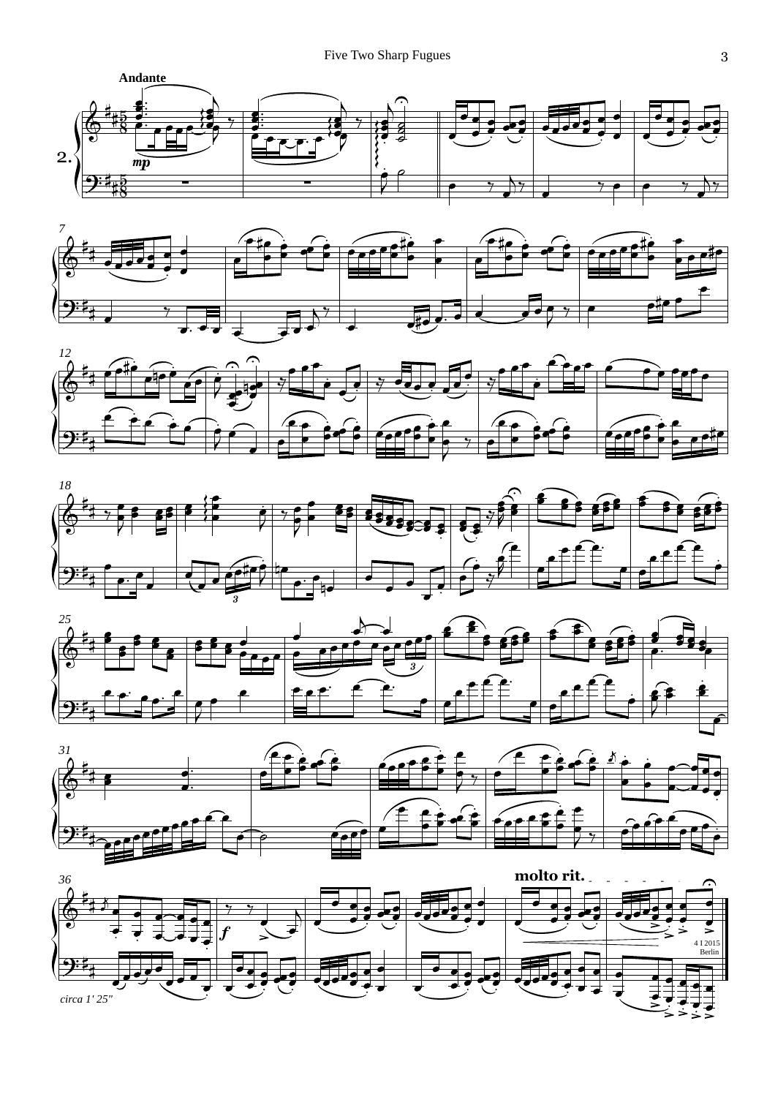











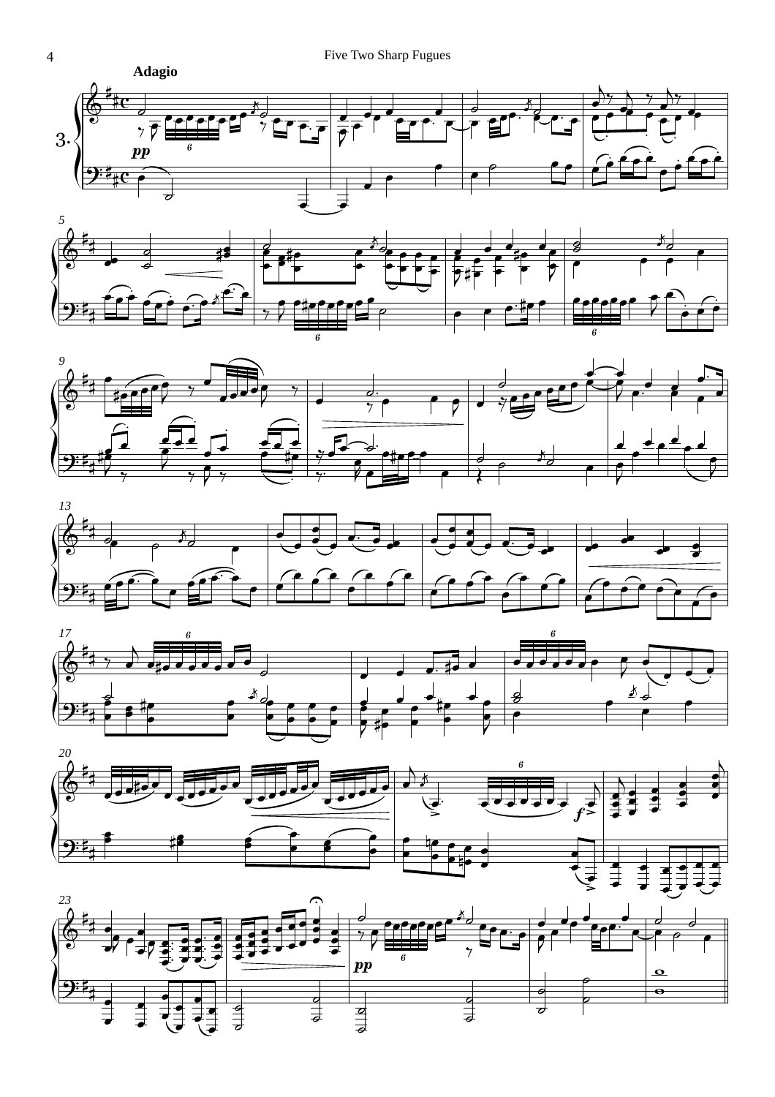











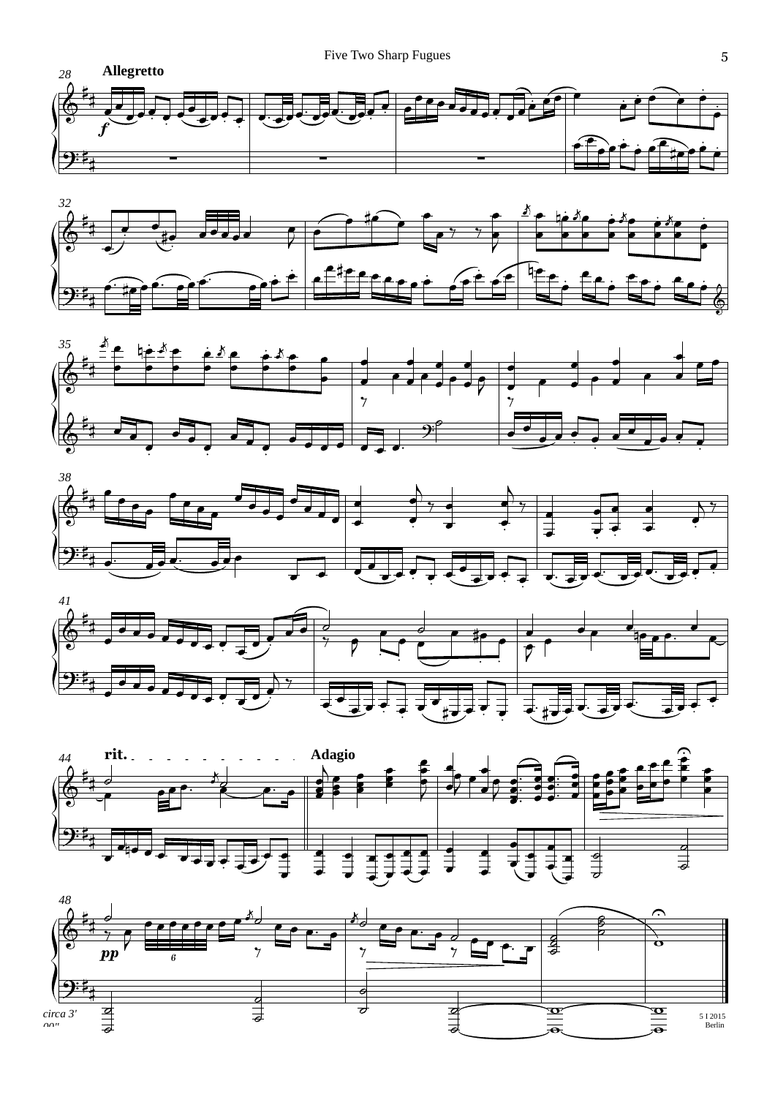











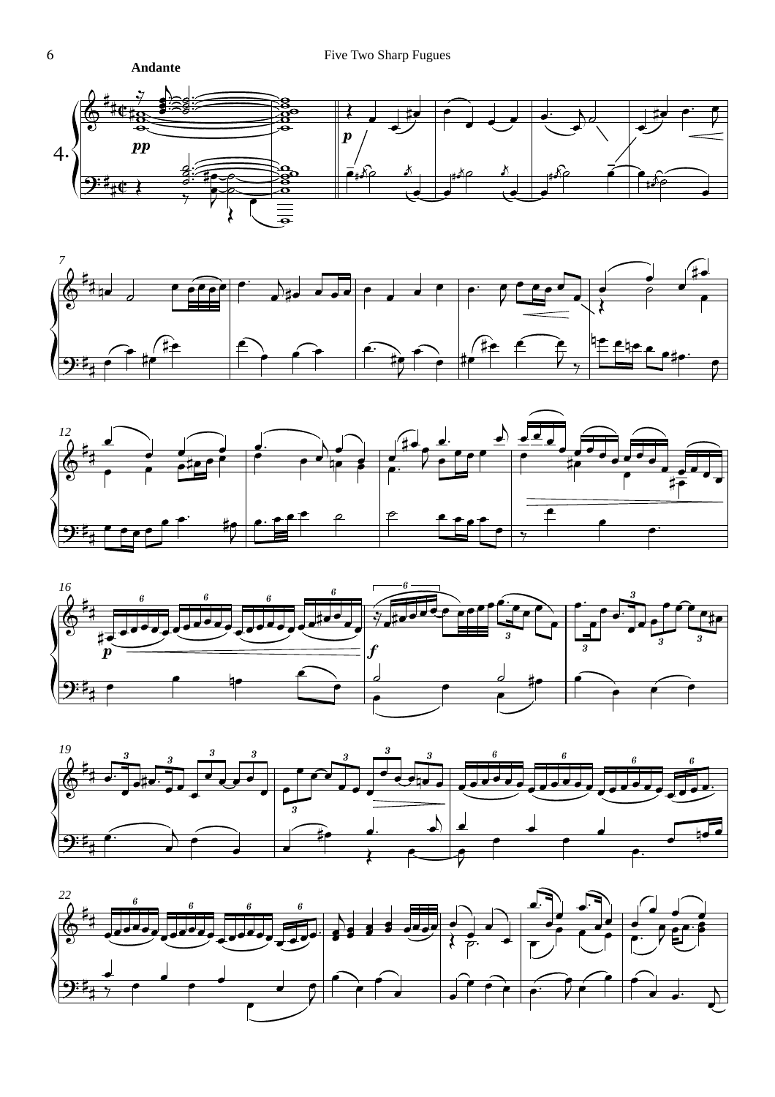









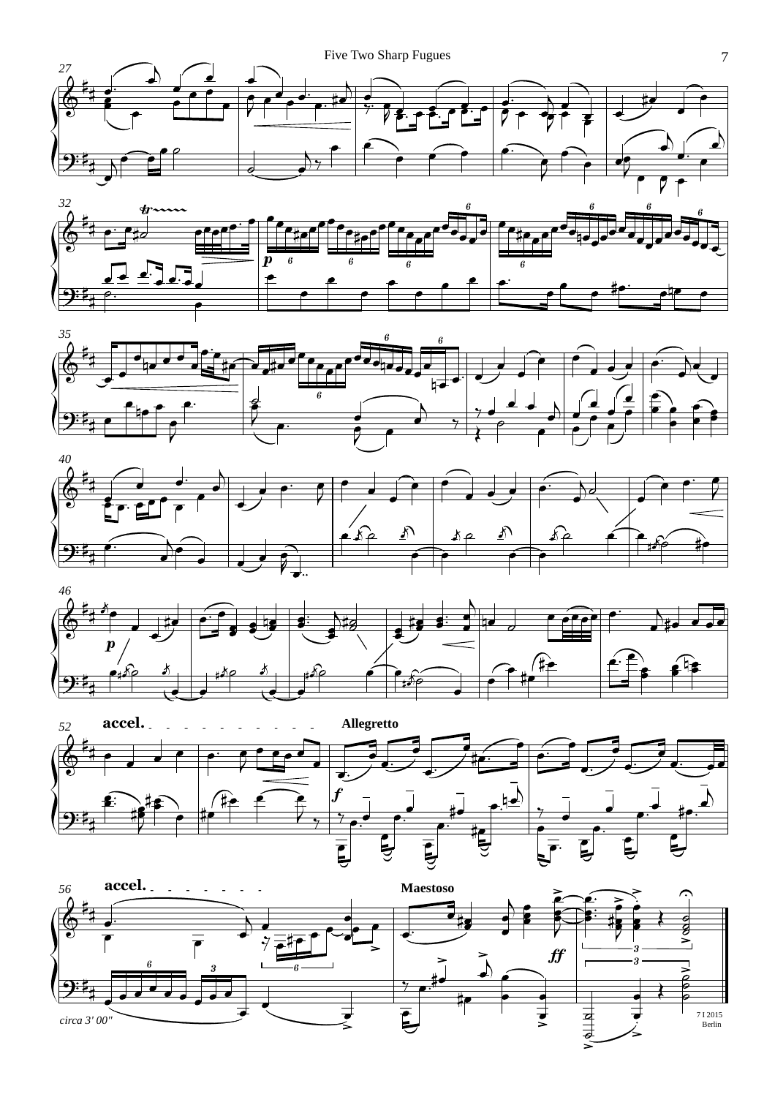Five Two Sharp Fugues 7













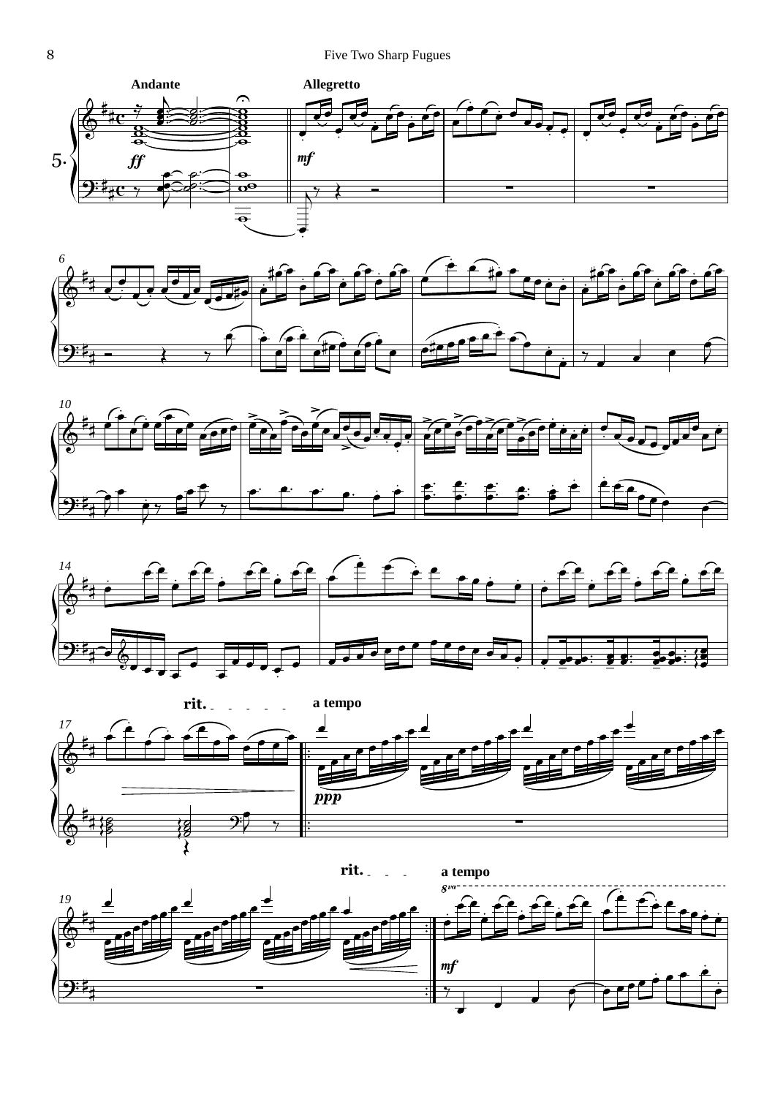









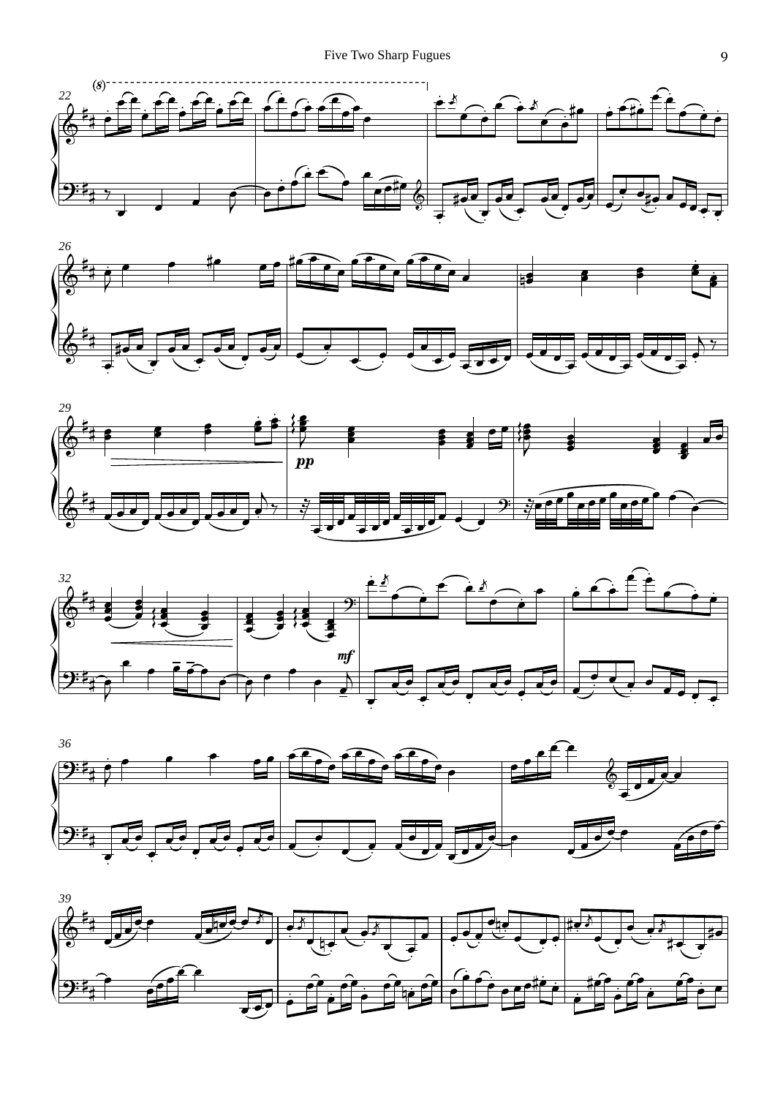









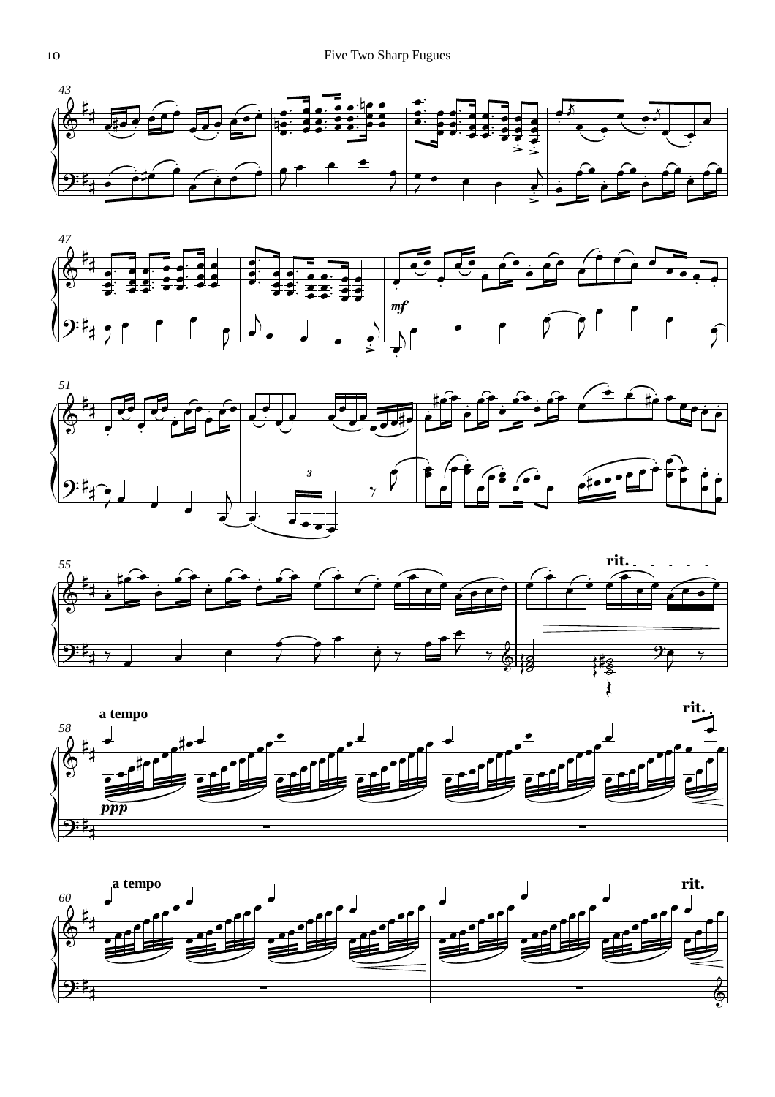